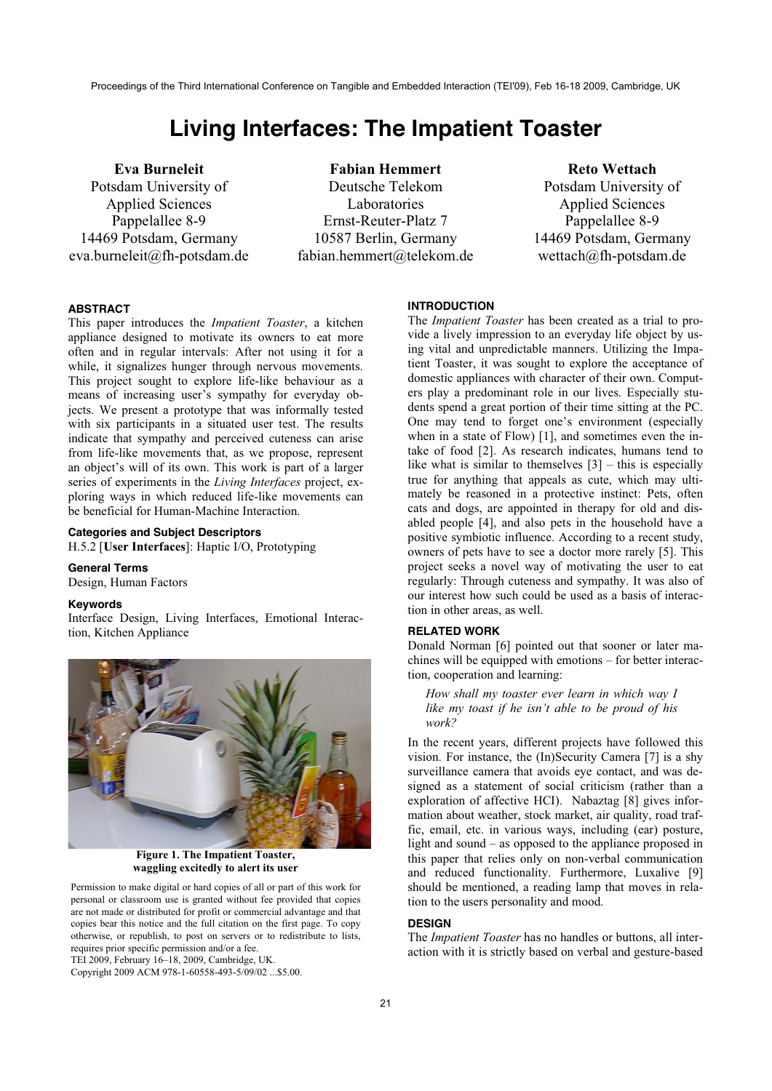Proceedings of the Third International Conference on Tangible and Embedded Interaction (TEI'09), Feb 16-18 2009, Cambridge, UK

# **Living Interfaces: The Impatient Toaster**

**Eva Burneleit**  Potsdam University of Applied Sciences Pappelallee 8-9 14469 Potsdam, Germany eva.burneleit@fh-potsdam.de

**Fabian Hemmert**  Deutsche Telekom Laboratories Ernst-Reuter-Platz 7 10587 Berlin, Germany fabian.hemmert@telekom.de

**Reto Wettach**  Potsdam University of Applied Sciences Pappelallee 8-9 14469 Potsdam, Germany wettach@fh-potsdam.de

## **ABSTRACT**

This paper introduces the *Impatient Toaster*, a kitchen appliance designed to motivate its owners to eat more often and in regular intervals: After not using it for a while, it signalizes hunger through nervous movements. This project sought to explore life-like behaviour as a means of increasing user's sympathy for everyday objects. We present a prototype that was informally tested with six participants in a situated user test. The results indicate that sympathy and perceived cuteness can arise from life-like movements that, as we propose, represent an object's will of its own. This work is part of a larger series of experiments in the *Living Interfaces* project, exploring ways in which reduced life-like movements can be beneficial for Human-Machine Interaction.

# **Categories and Subject Descriptors**

H.5.2 [**User Interfaces**]: Haptic I/O, Prototyping

## **General Terms**

Design, Human Factors

## **Keywords**

Interface Design, Living Interfaces, Emotional Interaction, Kitchen Appliance



**Figure 1. The Impatient Toaster, waggling excitedly to alert its user** 

Permission to make digital or hard copies of all or part of this work for personal or classroom use is granted without fee provided that copies are not made or distributed for profit or commercial advantage and that copies bear this notice and the full citation on the first page. To copy otherwise, or republish, to post on servers or to redistribute to lists, requires prior specific permission and/or a fee.

TEI 2009, February 16–18, 2009, Cambridge, UK.

Copyright 2009 ACM 978-1-60558-493-5/09/02 ...\$5.00.

#### **INTRODUCTION**

The *Impatient Toaster* has been created as a trial to provide a lively impression to an everyday life object by using vital and unpredictable manners. Utilizing the Impatient Toaster, it was sought to explore the acceptance of domestic appliances with character of their own. Computers play a predominant role in our lives. Especially students spend a great portion of their time sitting at the PC. One may tend to forget one's environment (especially when in a state of Flow) [1], and sometimes even the intake of food [2]. As research indicates, humans tend to like what is similar to themselves  $[3]$  – this is especially true for anything that appeals as cute, which may ultimately be reasoned in a protective instinct: Pets, often cats and dogs, are appointed in therapy for old and disabled people [4], and also pets in the household have a positive symbiotic influence. According to a recent study, owners of pets have to see a doctor more rarely [5]. This project seeks a novel way of motivating the user to eat regularly: Through cuteness and sympathy. It was also of our interest how such could be used as a basis of interaction in other areas, as well.

## **RELATED WORK**

Donald Norman [6] pointed out that sooner or later machines will be equipped with emotions – for better interaction, cooperation and learning:

*How shall my toaster ever learn in which way I like my toast if he isn't able to be proud of his work?*

In the recent years, different projects have followed this vision. For instance, the (In)Security Camera [7] is a shy surveillance camera that avoids eye contact, and was designed as a statement of social criticism (rather than a exploration of affective HCI). Nabaztag [8] gives information about weather, stock market, air quality, road traffic, email, etc. in various ways, including (ear) posture, light and sound – as opposed to the appliance proposed in this paper that relies only on non-verbal communication and reduced functionality. Furthermore, Luxalive [9] should be mentioned, a reading lamp that moves in relation to the users personality and mood.

#### **DESIGN**

The *Impatient Toaster* has no handles or buttons, all interaction with it is strictly based on verbal and gesture-based